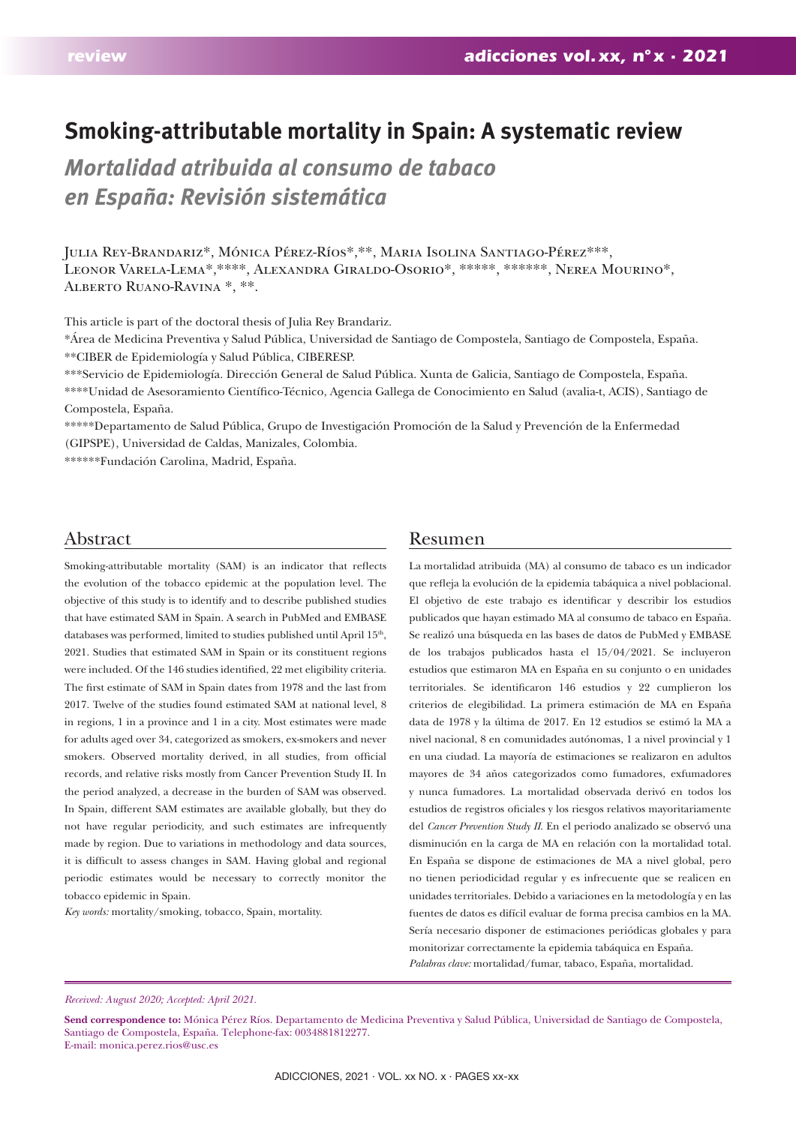# **Smoking-attributable mortality in Spain: A systematic review**

*Mortalidad atribuida al consumo de tabaco en España: Revisión sistemática*

Julia Rey-Brandariz\*, Mónica Pérez-Ríos\*,\*\*, Maria Isolina Santiago-Pérez\*\*\*, Leonor Varela-Lema\*,\*\*\*\*, Alexandra Giraldo-Osorio\*, \*\*\*\*\*, \*\*\*\*\*\*, Nerea Mourino\*, Alberto Ruano-Ravina \*, \*\*.

This article is part of the doctoral thesis of Julia Rey Brandariz.

\*Área de Medicina Preventiva y Salud Pública, Universidad de Santiago de Compostela, Santiago de Compostela, España. \*\*CIBER de Epidemiología y Salud Pública, CIBERESP.

\*\*\*Servicio de Epidemiología. Dirección General de Salud Pública. Xunta de Galicia, Santiago de Compostela, España.

\*\*\*\*Unidad de Asesoramiento Científico-Técnico, Agencia Gallega de Conocimiento en Salud (avalia-t, ACIS), Santiago de Compostela, España.

\*\*\*\*\*Departamento de Salud Pública, Grupo de Investigación Promoción de la Salud y Prevención de la Enfermedad (GIPSPE), Universidad de Caldas, Manizales, Colombia.

\*\*\*\*\*\*Fundación Carolina, Madrid, España.

# Abstract

Smoking-attributable mortality (SAM) is an indicator that reflects the evolution of the tobacco epidemic at the population level. The objective of this study is to identify and to describe published studies that have estimated SAM in Spain. A search in PubMed and EMBASE databases was performed, limited to studies published until April 15<sup>th</sup>, 2021. Studies that estimated SAM in Spain or its constituent regions were included. Of the 146 studies identified, 22 met eligibility criteria. The first estimate of SAM in Spain dates from 1978 and the last from 2017. Twelve of the studies found estimated SAM at national level, 8 in regions, 1 in a province and 1 in a city. Most estimates were made for adults aged over 34, categorized as smokers, ex-smokers and never smokers. Observed mortality derived, in all studies, from official records, and relative risks mostly from Cancer Prevention Study II. In the period analyzed, a decrease in the burden of SAM was observed. In Spain, different SAM estimates are available globally, but they do not have regular periodicity, and such estimates are infrequently made by region. Due to variations in methodology and data sources, it is difficult to assess changes in SAM. Having global and regional periodic estimates would be necessary to correctly monitor the tobacco epidemic in Spain.

*Key words:* mortality/smoking, tobacco, Spain, mortality.

## Resumen

La mortalidad atribuida (MA) al consumo de tabaco es un indicador que refleja la evolución de la epidemia tabáquica a nivel poblacional. El objetivo de este trabajo es identificar y describir los estudios publicados que hayan estimado MA al consumo de tabaco en España. Se realizó una búsqueda en las bases de datos de PubMed y EMBASE de los trabajos publicados hasta el 15/04/2021. Se incluyeron estudios que estimaron MA en España en su conjunto o en unidades territoriales. Se identificaron 146 estudios y 22 cumplieron los criterios de elegibilidad. La primera estimación de MA en España data de 1978 y la última de 2017. En 12 estudios se estimó la MA a nivel nacional, 8 en comunidades autónomas, 1 a nivel provincial y 1 en una ciudad. La mayoría de estimaciones se realizaron en adultos mayores de 34 años categorizados como fumadores, exfumadores y nunca fumadores. La mortalidad observada derivó en todos los estudios de registros oficiales y los riesgos relativos mayoritariamente del *Cancer Prevention Study II*. En el periodo analizado se observó una disminución en la carga de MA en relación con la mortalidad total. En España se dispone de estimaciones de MA a nivel global, pero no tienen periodicidad regular y es infrecuente que se realicen en unidades territoriales. Debido a variaciones en la metodología y en las fuentes de datos es difícil evaluar de forma precisa cambios en la MA. Sería necesario disponer de estimaciones periódicas globales y para monitorizar correctamente la epidemia tabáquica en España. *Palabras clave:* mortalidad/fumar, tabaco, España, mortalidad.

#### *Received: August 2020; Accepted: April 2021.*

**Send correspondence to:** Mónica Pérez Ríos. Departamento de Medicina Preventiva y Salud Pública, Universidad de Santiago de Compostela, Santiago de Compostela, España. Telephone-fax: 0034881812277. E-mail: monica.perez.rios@usc.es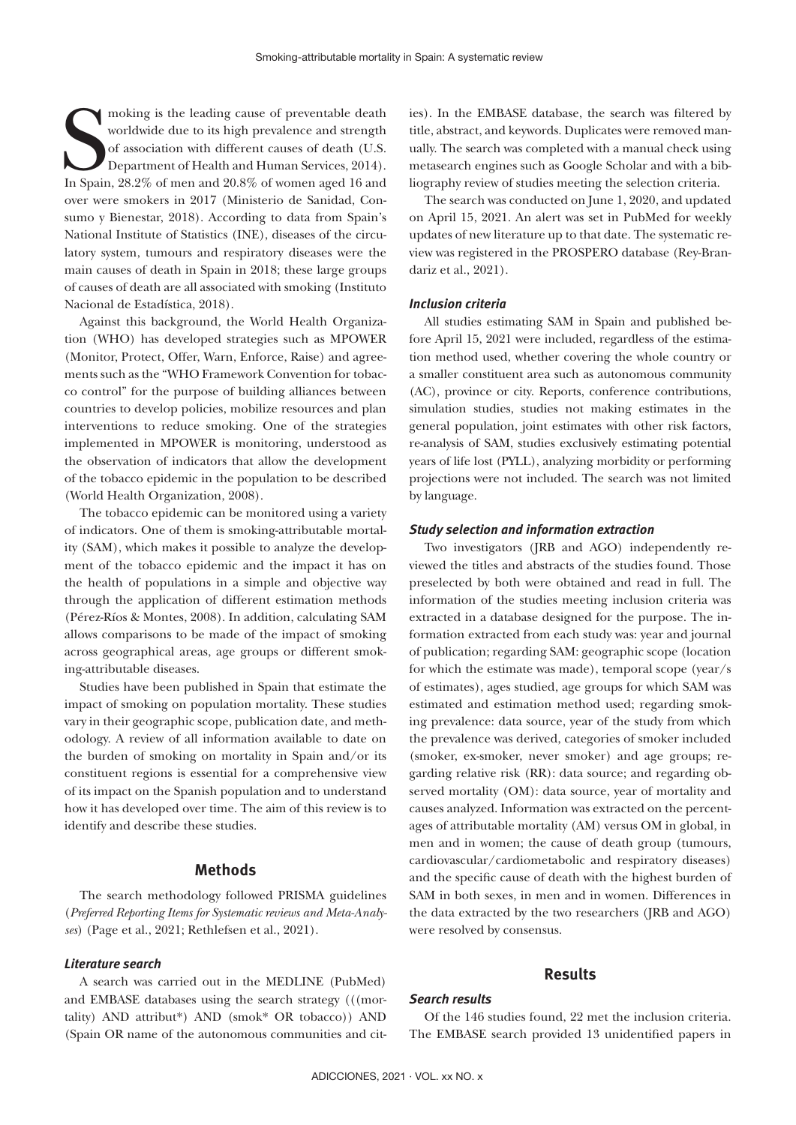moking is the leading cause of preventable death<br>worldwide due to its high prevalence and strength<br>of association with different causes of death (U.S.<br>In Spain, 28.2% of men and 20.8% of women aged 16 and<br>prices, 2014). moking is the leading cause of preventable death worldwide due to its high prevalence and strength of association with different causes of death (U.S. Department of Health and Human Services, 2014). over were smokers in 2017 (Ministerio de Sanidad, Consumo y Bienestar, 2018). According to data from Spain's National Institute of Statistics (INE), diseases of the circulatory system, tumours and respiratory diseases were the main causes of death in Spain in 2018; these large groups of causes of death are all associated with smoking (Instituto Nacional de Estadística, 2018).

Against this background, the World Health Organization (WHO) has developed strategies such as MPOWER (Monitor, Protect, Offer, Warn, Enforce, Raise) and agreements such as the "WHO Framework Convention for tobacco control" for the purpose of building alliances between countries to develop policies, mobilize resources and plan interventions to reduce smoking. One of the strategies implemented in MPOWER is monitoring, understood as the observation of indicators that allow the development of the tobacco epidemic in the population to be described (World Health Organization, 2008).

The tobacco epidemic can be monitored using a variety of indicators. One of them is smoking-attributable mortality (SAM), which makes it possible to analyze the development of the tobacco epidemic and the impact it has on the health of populations in a simple and objective way through the application of different estimation methods (Pérez-Ríos & Montes, 2008). In addition, calculating SAM allows comparisons to be made of the impact of smoking across geographical areas, age groups or different smoking-attributable diseases.

Studies have been published in Spain that estimate the impact of smoking on population mortality. These studies vary in their geographic scope, publication date, and methodology. A review of all information available to date on the burden of smoking on mortality in Spain and/or its constituent regions is essential for a comprehensive view of its impact on the Spanish population and to understand how it has developed over time. The aim of this review is to identify and describe these studies.

## **Methods**

The search methodology followed PRISMA guidelines (*Preferred Reporting Items for Systematic reviews and Meta-Analyses*) (Page et al., 2021; Rethlefsen et al., 2021).

#### *Literature search*

A search was carried out in the MEDLINE (PubMed) and EMBASE databases using the search strategy (((mortality) AND attribut\*) AND (smok\* OR tobacco)) AND (Spain OR name of the autonomous communities and cities). In the EMBASE database, the search was filtered by title, abstract, and keywords. Duplicates were removed manually. The search was completed with a manual check using metasearch engines such as Google Scholar and with a bibliography review of studies meeting the selection criteria.

The search was conducted on June 1, 2020, and updated on April 15, 2021. An alert was set in PubMed for weekly updates of new literature up to that date. The systematic review was registered in the PROSPERO database (Rey-Brandariz et al., 2021).

#### *Inclusion criteria*

All studies estimating SAM in Spain and published before April 15, 2021 were included, regardless of the estimation method used, whether covering the whole country or a smaller constituent area such as autonomous community (AC), province or city. Reports, conference contributions, simulation studies, studies not making estimates in the general population, joint estimates with other risk factors, re-analysis of SAM, studies exclusively estimating potential years of life lost (PYLL), analyzing morbidity or performing projections were not included. The search was not limited by language.

#### *Study selection and information extraction*

Two investigators (JRB and AGO) independently reviewed the titles and abstracts of the studies found. Those preselected by both were obtained and read in full. The information of the studies meeting inclusion criteria was extracted in a database designed for the purpose. The information extracted from each study was: year and journal of publication; regarding SAM: geographic scope (location for which the estimate was made), temporal scope (year/s of estimates), ages studied, age groups for which SAM was estimated and estimation method used; regarding smoking prevalence: data source, year of the study from which the prevalence was derived, categories of smoker included (smoker, ex-smoker, never smoker) and age groups; regarding relative risk (RR): data source; and regarding observed mortality (OM): data source, year of mortality and causes analyzed. Information was extracted on the percentages of attributable mortality (AM) versus OM in global, in men and in women; the cause of death group (tumours, cardiovascular/cardiometabolic and respiratory diseases) and the specific cause of death with the highest burden of SAM in both sexes, in men and in women. Differences in the data extracted by the two researchers (JRB and AGO) were resolved by consensus.

#### **Results**

# *Search results*

Of the 146 studies found, 22 met the inclusion criteria. The EMBASE search provided 13 unidentified papers in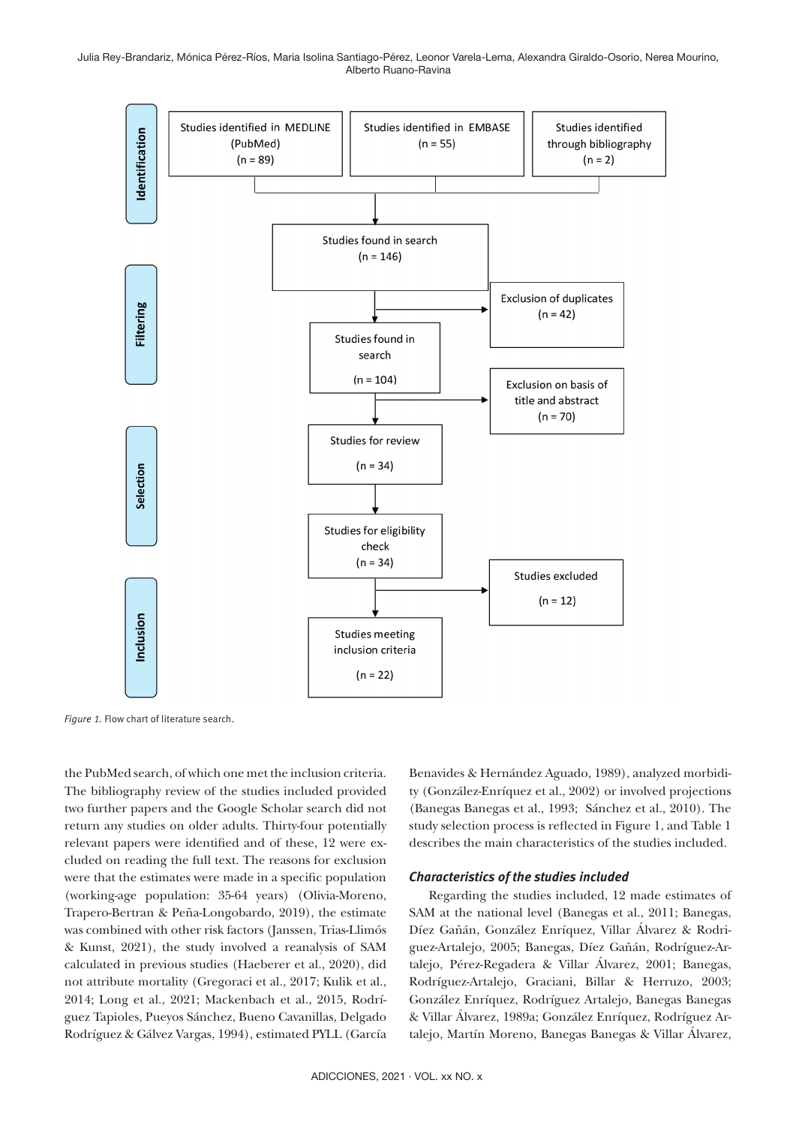Julia Rey-Brandariz, Mónica Pérez-Ríos, Maria Isolina Santiago-Pérez, Leonor Varela-Lema, Alexandra Giraldo-Osorio, Nerea Mourino, Alberto Ruano-Ravina



Figure 1. Flow chart of literature search.

the PubMed search, of which one met the inclusion criteria. The bibliography review of the studies included provided two further papers and the Google Scholar search did not return any studies on older adults. Thirty-four potentially relevant papers were identified and of these, 12 were excluded on reading the full text. The reasons for exclusion were that the estimates were made in a specific population (working-age population: 35-64 years) (Olivia-Moreno, Trapero-Bertran & Peña-Longobardo, 2019), the estimate was combined with other risk factors (Janssen, Trias-Llimós & Kunst, 2021), the study involved a reanalysis of SAM calculated in previous studies (Haeberer et al., 2020), did not attribute mortality (Gregoraci et al., 2017; Kulik et al., 2014; Long et al., 2021; Mackenbach et al., 2015, Rodríguez Tapioles, Pueyos Sánchez, Bueno Cavanillas, Delgado Rodríguez & Gálvez Vargas, 1994), estimated PYLL (García Benavides & Hernández Aguado, 1989), analyzed morbidity (González-Enríquez et al., 2002) or involved projections (Banegas Banegas et al., 1993; Sánchez et al., 2010). The study selection process is reflected in Figure 1, and Table 1 describes the main characteristics of the studies included.

## *Characteristics of the studies included*

 Regarding the studies included, 12 made estimates of SAM at the national level (Banegas et al., 2011; Banegas, Díez Gañán, González Enríquez, Villar Álvarez & Rodriguez-Artalejo, 2005; Banegas, Díez Gañán, Rodríguez-Artalejo, Pérez-Regadera & Villar Álvarez, 2001; Banegas, Rodríguez-Artalejo, Graciani, Billar & Herruzo, 2003; González Enríquez, Rodríguez Artalejo, Banegas Banegas & Villar Álvarez, 1989a; González Enríquez, Rodríguez Artalejo, Martín Moreno, Banegas Banegas & Villar Álvarez,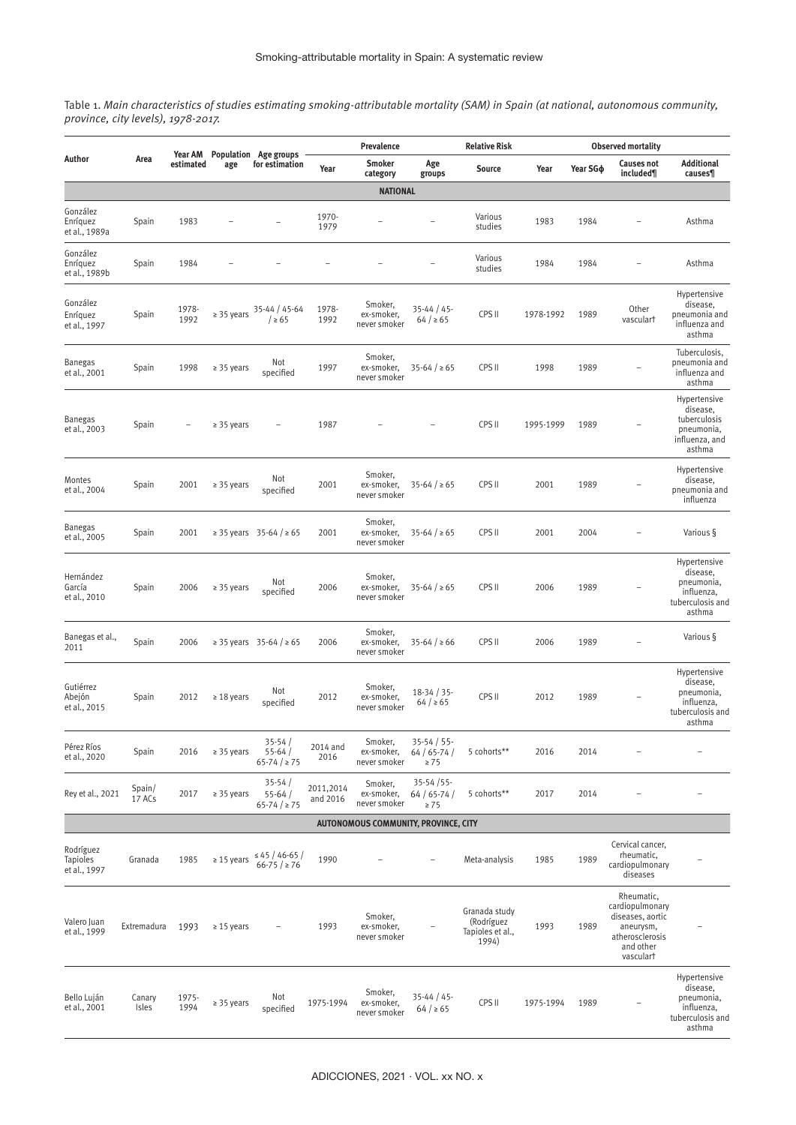Table 1. *Main characteristics of studies estimating smoking-attributable mortality (SAM) in Spain (at national, autonomous community, province, city levels), 1978-2017.*

| Author                                | Area             | Year AM<br>estimated | age             | Population Age groups<br>for estimation        | Prevalence            |                                       |                                            | <b>Relative Risk</b>                                     | <b>Observed mortality</b> |                      |                                                                                                             |                                                                                    |
|---------------------------------------|------------------|----------------------|-----------------|------------------------------------------------|-----------------------|---------------------------------------|--------------------------------------------|----------------------------------------------------------|---------------------------|----------------------|-------------------------------------------------------------------------------------------------------------|------------------------------------------------------------------------------------|
|                                       |                  |                      |                 |                                                | Year                  | Smoker<br>category                    | Age<br>groups                              | Source                                                   | Year                      | Year SG <sub>®</sub> | <b>Causes not</b><br>included¶                                                                              | <b>Additional</b><br>causes¶                                                       |
| <b>NATIONAL</b>                       |                  |                      |                 |                                                |                       |                                       |                                            |                                                          |                           |                      |                                                                                                             |                                                                                    |
| González<br>Enríquez<br>et al., 1989a | Spain            | 1983                 |                 |                                                | 1970-<br>1979         |                                       |                                            | Various<br>studies                                       | 1983                      | 1984                 |                                                                                                             | Asthma                                                                             |
| González<br>Enríquez<br>et al., 1989b | Spain            | 1984                 |                 |                                                |                       |                                       |                                            | Various<br>studies                                       | 1984                      | 1984                 |                                                                                                             | Asthma                                                                             |
| González<br>Enríquez<br>et al., 1997  | Spain            | 1978-<br>1992        |                 | ≥ 35 years $\frac{35-44}{2}$ / ≥ 65            | 1978-<br>1992         | Smoker,<br>ex-smoker,<br>never smoker | $35 - 44 / 45$<br>64 / 265                 | CPS II                                                   | 1978-1992                 | 1989                 | Other<br>vasculart                                                                                          | Hypertensive<br>disease,<br>pneumonia and<br>influenza and<br>asthma               |
| Banegas<br>et al., 2001               | Spain            | 1998                 | $\geq$ 35 years | Not<br>specified                               | 1997                  | Smoker,<br>ex-smoker,<br>never smoker | $35 - 64 / \ge 65$                         | CPS II                                                   | 1998                      | 1989                 |                                                                                                             | Tuberculosis,<br>pneumonia and<br>influenza and<br>asthma                          |
| <b>Banegas</b><br>et al., 2003        | Spain            |                      | $\geq$ 35 years |                                                | 1987                  |                                       |                                            | CPS II                                                   | 1995-1999                 | 1989                 |                                                                                                             | Hypertensive<br>disease,<br>tuberculosis<br>pneumonia,<br>influenza, and<br>asthma |
| Montes<br>et al., 2004                | Spain            | 2001                 | $\geq$ 35 years | Not<br>specified                               | 2001                  | Smoker,<br>ex-smoker,<br>never smoker | $35-64 / \ge 65$                           | CPS II                                                   | 2001                      | 1989                 |                                                                                                             | Hypertensive<br>disease,<br>pneumonia and<br>influenza                             |
| <b>Banegas</b><br>et al., 2005        | Spain            | 2001                 |                 | ≥ 35 years 35-64 / ≥ 65                        | 2001                  | Smoker,<br>ex-smoker,<br>never smoker | $35-64 / \ge 65$                           | CPS II                                                   | 2001                      | 2004                 |                                                                                                             | Various §                                                                          |
| Hernández<br>García<br>et al., 2010   | Spain            | 2006                 | $\geq$ 35 years | Not<br>specified                               | 2006                  | Smoker,<br>ex-smoker,<br>never smoker | $35-64 / \ge 65$                           | CPS II                                                   | 2006                      | 1989                 |                                                                                                             | Hypertensive<br>disease,<br>pneumonia,<br>influenza,<br>tuberculosis and<br>asthma |
| Banegas et al.,<br>2011               | Spain            | 2006                 |                 | ≥ 35 years 35-64 / ≥ 65                        | 2006                  | Smoker,<br>ex-smoker,<br>never smoker | $35 - 64 / \ge 66$                         | CPS II                                                   | 2006                      | 1989                 | $\overline{\phantom{0}}$                                                                                    | Various §                                                                          |
| Gutiérrez<br>Abejón<br>et al., 2015   | Spain            | 2012                 | $\geq 18$ years | Not<br>specified                               | 2012                  | Smoker,<br>ex-smoker,<br>never smoker | $18-34/35$<br>64 / 265                     | CPS II                                                   | 2012                      | 1989                 |                                                                                                             | Hypertensive<br>disease,<br>pneumonia,<br>influenza,<br>tuberculosis and<br>asthma |
| Pérez Ríos<br>et al., 2020            | Spain            | 2016                 | $\geq$ 35 years | $35 - 54/$<br>$55 - 64/$<br>$65 - 74 / \ge 75$ | 2014 and<br>2016      | Smoker,<br>ex-smoker,<br>never smoker | $35 - 54 / 55$<br>$64/65-74/$<br>$\geq 75$ | 5 cohorts**                                              | 2016                      | 2014                 |                                                                                                             |                                                                                    |
| Rey et al., 2021                      | Spain/<br>17 ACs | 2017                 | $\geq$ 35 years | $35 - 54/$<br>$55 - 64/$<br>$65 - 74 / \ge 75$ | 2011,2014<br>and 2016 | Smoker,<br>ex-smoker,<br>never smoker | $35 - 54 / 55$<br>$64/65-74/$<br>$\geq 75$ | 5 cohorts**                                              | 2017                      | 2014                 |                                                                                                             |                                                                                    |
|                                       |                  |                      |                 |                                                |                       | AUTONOMOUS COMMUNITY, PROVINCE, CITY  |                                            |                                                          |                           |                      |                                                                                                             |                                                                                    |
| Rodríguez<br>Tapioles<br>et al., 1997 | Granada          | 1985                 | $\geq 15$ years | $\leq 45 / 46 - 65$<br>$66 - 75$ / $\geq 76$   | 1990                  |                                       |                                            | Meta-analysis                                            | 1985                      | 1989                 | Cervical cancer,<br>rheumatic,<br>cardiopulmonary<br>diseases                                               |                                                                                    |
| Valero Juan<br>et al., 1999           | Extremadura      | 1993                 | $\geq 15$ years |                                                | 1993                  | Smoker,<br>ex-smoker,<br>never smoker |                                            | Granada study<br>(Rodríguez<br>Tapioles et al.,<br>1994) | 1993                      | 1989                 | Rheumatic,<br>cardiopulmonary<br>diseases, aortic<br>aneurysm,<br>atherosclerosis<br>and other<br>vasculart |                                                                                    |
| Bello Luján<br>et al., 2001           | Canary<br>Isles  | 1975-<br>1994        | $\geq$ 35 years | Not<br>specified                               | 1975-1994             | Smoker,<br>ex-smoker,<br>never smoker | $35 - 44 / 45$<br>64 / 265                 | CPS II                                                   | 1975-1994                 | 1989                 |                                                                                                             | Hypertensive<br>disease,<br>pneumonia,<br>influenza,<br>tuberculosis and<br>asthma |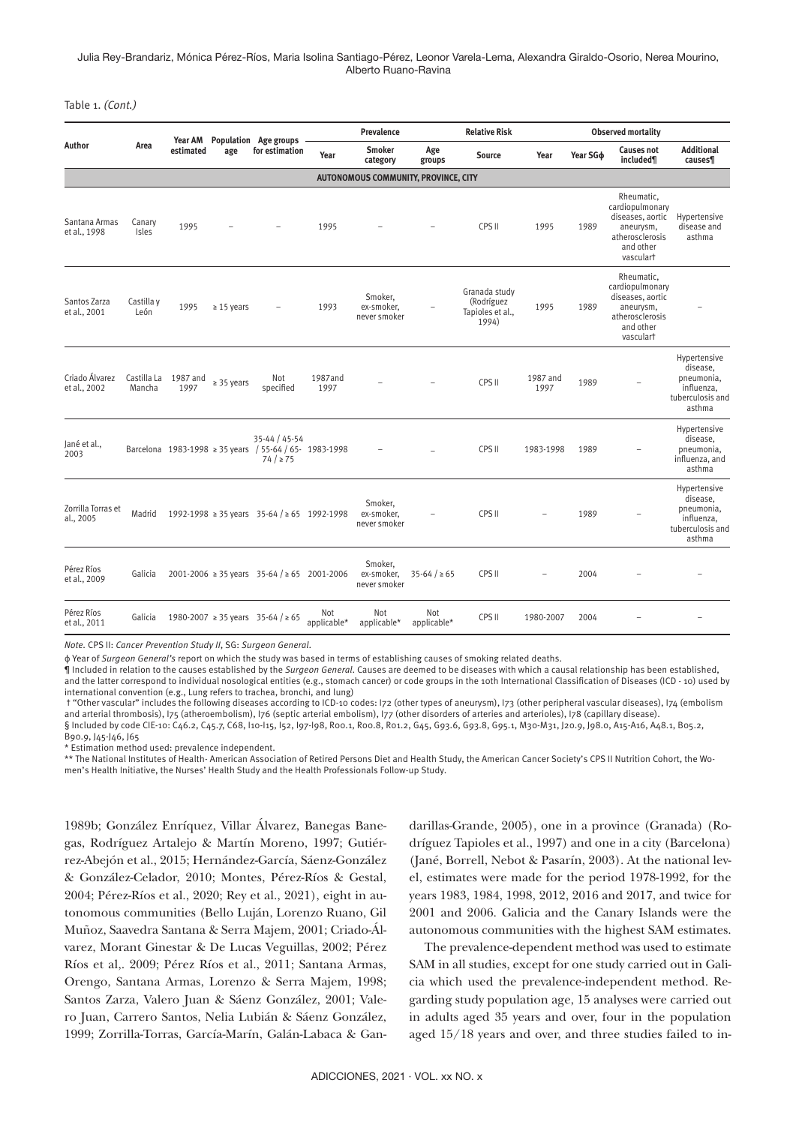Julia Rey-Brandariz, Mónica Pérez-Ríos, Maria Isolina Santiago-Pérez, Leonor Varela-Lema, Alexandra Giraldo-Osorio, Nerea Mourino, Alberto Ruano-Ravina

Table 1. *(Cont.)*

| Author                               | Area                  | <b>Year AM</b><br>estimated | age             | Population Age groups<br>for estimation                                             | Prevalence         |                                       |                    | <b>Relative Risk</b>                                     |                  | <b>Observed mortality</b> |                                                                                                             |                                                                                    |
|--------------------------------------|-----------------------|-----------------------------|-----------------|-------------------------------------------------------------------------------------|--------------------|---------------------------------------|--------------------|----------------------------------------------------------|------------------|---------------------------|-------------------------------------------------------------------------------------------------------------|------------------------------------------------------------------------------------|
|                                      |                       |                             |                 |                                                                                     | Year               | <b>Smoker</b><br>category             | Age<br>groups      | <b>Source</b>                                            | Year             | Year SG <sub>b</sub>      | <b>Causes not</b><br>included¶                                                                              | <b>Additional</b><br>causes¶                                                       |
| AUTONOMOUS COMMUNITY, PROVINCE, CITY |                       |                             |                 |                                                                                     |                    |                                       |                    |                                                          |                  |                           |                                                                                                             |                                                                                    |
| Santana Armas<br>et al., 1998        | Canary<br>Isles       | 1995                        |                 |                                                                                     | 1995               |                                       |                    | CPS II                                                   | 1995             | 1989                      | Rheumatic.<br>cardiopulmonary<br>diseases, aortic<br>aneurysm,<br>atherosclerosis<br>and other<br>vasculart | Hypertensive<br>disease and<br>asthma                                              |
| Santos Zarza<br>et al., 2001         | Castilla y<br>León    | 1995                        | $\geq 15$ years |                                                                                     | 1993               | Smoker,<br>ex-smoker,<br>never smoker |                    | Granada study<br>(Rodríguez<br>Tapioles et al.,<br>1994) | 1995             | 1989                      | Rheumatic.<br>cardiopulmonary<br>diseases, aortic<br>aneurysm,<br>atherosclerosis<br>and other<br>vasculart |                                                                                    |
| Criado Álvarez<br>et al., 2002       | Castilla La<br>Mancha | 1987 and<br>1997            | $\geq$ 35 years | Not<br>specified                                                                    | 1987and<br>1997    |                                       |                    | CPS II                                                   | 1987 and<br>1997 | 1989                      |                                                                                                             | Hypertensive<br>disease,<br>pneumonia,<br>influenza.<br>tuberculosis and<br>asthma |
| Jané et al.,<br>2003                 |                       |                             |                 | 35-44 / 45-54<br>Barcelona 1983-1998 ≥ 35 years / 55-64 / 65- 1983-1998<br>74 / 275 |                    |                                       |                    | CPS II                                                   | 1983-1998        | 1989                      |                                                                                                             | Hypertensive<br>disease,<br>pneumonia,<br>influenza, and<br>asthma                 |
| Zorrilla Torras et<br>al., 2005      | Madrid                |                             |                 | 1992-1998 ≥ 35 years 35-64 / ≥ 65 1992-1998                                         |                    | Smoker,<br>ex-smoker,<br>never smoker |                    | CPS II                                                   |                  | 1989                      |                                                                                                             | Hypertensive<br>disease,<br>pneumonia,<br>influenza,<br>tuberculosis and<br>asthma |
| Pérez Ríos<br>et al., 2009           | Galicia               |                             |                 | 2001-2006 $\ge$ 35 years 35-64 / $\ge$ 65 2001-2006                                 |                    | Smoker,<br>ex-smoker,<br>never smoker | $35-64 / \ge 65$   | CPS II                                                   |                  | 2004                      |                                                                                                             |                                                                                    |
| Pérez Ríos<br>et al., 2011           | Galicia               |                             |                 | 1980-2007 ≥ 35 years 35-64 / ≥ 65                                                   | Not<br>applicable* | Not<br>applicable*                    | Not<br>applicable* | CPS II                                                   | 1980-2007        | 2004                      |                                                                                                             |                                                                                    |

*Note.* CPS II: *Cancer Prevention Study II*, SG: *Surgeon General*.

ϕ Year of *Surgeon General's* report on which the study was based in terms of establishing causes of smoking related deaths.

¶ Included in relation to the causes established by the *Surgeon General*. Causes are deemed to be diseases with which a causal relationship has been established, and the latter correspond to individual nosological entities (e.g., stomach cancer) or code groups in the 10th International Classification of Diseases (ICD - 10) used by international convention (e.g., Lung refers to trachea, bronchi, and lung)

† "Other vascular" includes the following diseases according to ICD-10 codes: I72 (other types of aneurysm), I73 (other peripheral vascular diseases), I74 (embolism and arterial thrombosis), I75 (atheroembolism), I76 (septic arterial embolism), I77 (other disorders of arteries and arterioles), I78 (capillary disease). § Included by code CIE-10: C46.2, C45.7, C68, I10-I15, I52, I97-I98, R00.1, R00.8, R01.2, G45, G93.6, G93.8, G95.1, M30-M31, J20.9, J98.0, A15-A16, A48.1, B05.2,

B90.9, J45-J46, J65

\* Estimation method used: prevalence independent.

\*\* The National Institutes of Health- American Association of Retired Persons Diet and Health Study, the American Cancer Society's CPS II Nutrition Cohort, the Women's Health Initiative, the Nurses' Health Study and the Health Professionals Follow-up Study.

1989b; González Enríquez, Villar Álvarez, Banegas Banegas, Rodríguez Artalejo & Martín Moreno, 1997; Gutiérrez-Abejón et al., 2015; Hernández-García, Sáenz-González & González-Celador, 2010; Montes, Pérez-Ríos & Gestal, 2004; Pérez-Ríos et al., 2020; Rey et al., 2021), eight in autonomous communities (Bello Luján, Lorenzo Ruano, Gil Muñoz, Saavedra Santana & Serra Majem, 2001; Criado-Álvarez, Morant Ginestar & De Lucas Veguillas, 2002; Pérez Ríos et al,. 2009; Pérez Ríos et al., 2011; Santana Armas, Orengo, Santana Armas, Lorenzo & Serra Majem, 1998; Santos Zarza, Valero Juan & Sáenz González, 2001; Valero Juan, Carrero Santos, Nelia Lubián & Sáenz González, 1999; Zorrilla-Torras, García-Marín, Galán-Labaca & Gandarillas-Grande, 2005), one in a province (Granada) (Rodríguez Tapioles et al., 1997) and one in a city (Barcelona) (Jané, Borrell, Nebot & Pasarín, 2003). At the national level, estimates were made for the period 1978-1992, for the years 1983, 1984, 1998, 2012, 2016 and 2017, and twice for 2001 and 2006. Galicia and the Canary Islands were the autonomous communities with the highest SAM estimates.

The prevalence-dependent method was used to estimate SAM in all studies, except for one study carried out in Galicia which used the prevalence-independent method. Regarding study population age, 15 analyses were carried out in adults aged 35 years and over, four in the population aged 15/18 years and over, and three studies failed to in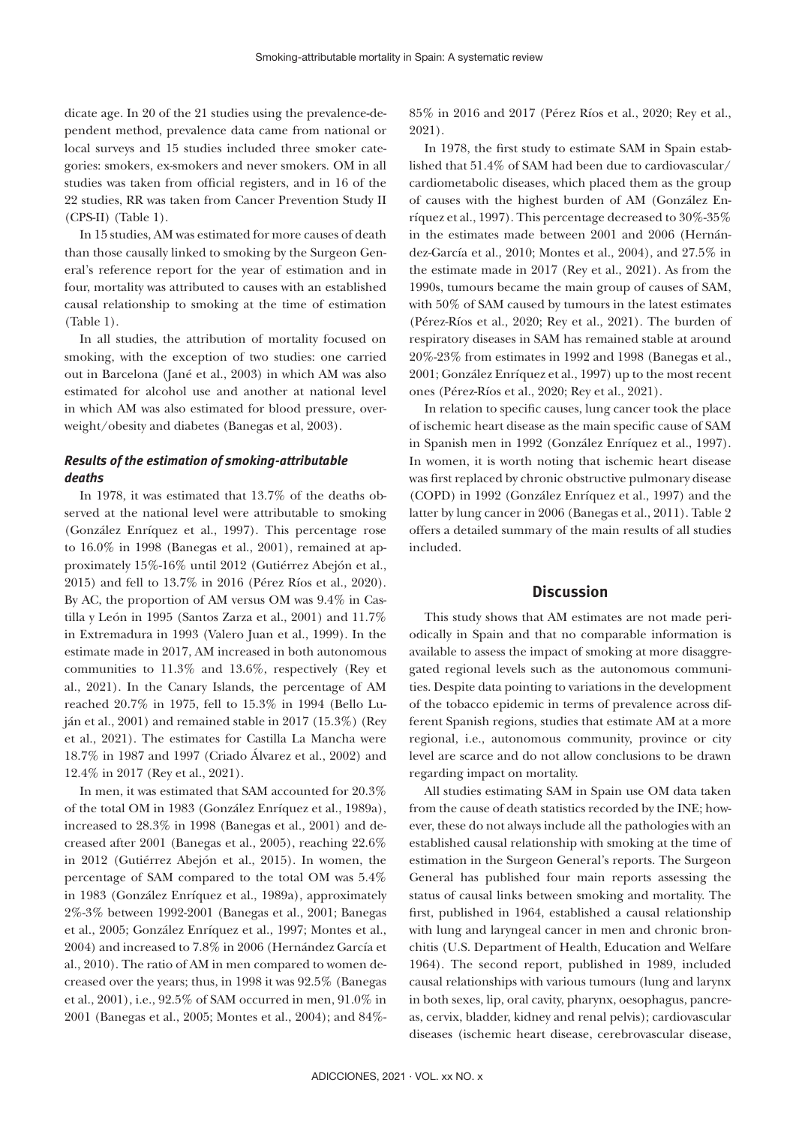dicate age. In 20 of the 21 studies using the prevalence-dependent method, prevalence data came from national or local surveys and 15 studies included three smoker categories: smokers, ex-smokers and never smokers. OM in all studies was taken from official registers, and in 16 of the 22 studies, RR was taken from Cancer Prevention Study II (CPS-II) (Table 1).

In 15 studies, AM was estimated for more causes of death than those causally linked to smoking by the Surgeon General's reference report for the year of estimation and in four, mortality was attributed to causes with an established causal relationship to smoking at the time of estimation (Table 1).

In all studies, the attribution of mortality focused on smoking, with the exception of two studies: one carried out in Barcelona (Jané et al., 2003) in which AM was also estimated for alcohol use and another at national level in which AM was also estimated for blood pressure, overweight/obesity and diabetes (Banegas et al, 2003).

# *Results of the estimation of smoking-attributable deaths*

In 1978, it was estimated that 13.7% of the deaths observed at the national level were attributable to smoking (González Enríquez et al., 1997). This percentage rose to 16.0% in 1998 (Banegas et al., 2001), remained at approximately 15%-16% until 2012 (Gutiérrez Abejón et al., 2015) and fell to 13.7% in 2016 (Pérez Ríos et al., 2020). By AC, the proportion of AM versus OM was 9.4% in Castilla y León in 1995 (Santos Zarza et al., 2001) and 11.7% in Extremadura in 1993 (Valero Juan et al., 1999). In the estimate made in 2017, AM increased in both autonomous communities to 11.3% and 13.6%, respectively (Rey et al., 2021). In the Canary Islands, the percentage of AM reached 20.7% in 1975, fell to 15.3% in 1994 (Bello Luján et al., 2001) and remained stable in 2017 (15.3%) (Rey et al., 2021). The estimates for Castilla La Mancha were 18.7% in 1987 and 1997 (Criado Álvarez et al., 2002) and 12.4% in 2017 (Rey et al., 2021).

In men, it was estimated that SAM accounted for 20.3% of the total OM in 1983 (González Enríquez et al., 1989a), increased to 28.3% in 1998 (Banegas et al., 2001) and decreased after 2001 (Banegas et al., 2005), reaching 22.6% in 2012 (Gutiérrez Abejón et al., 2015). In women, the percentage of SAM compared to the total OM was 5.4% in 1983 (González Enríquez et al., 1989a), approximately 2%-3% between 1992-2001 (Banegas et al., 2001; Banegas et al., 2005; González Enríquez et al., 1997; Montes et al., 2004) and increased to 7.8% in 2006 (Hernández García et al., 2010). The ratio of AM in men compared to women decreased over the years; thus, in 1998 it was 92.5% (Banegas et al., 2001), i.e., 92.5% of SAM occurred in men, 91.0% in 2001 (Banegas et al., 2005; Montes et al., 2004); and 84%- 85% in 2016 and 2017 (Pérez Ríos et al., 2020; Rey et al., 2021).

In 1978, the first study to estimate SAM in Spain established that 51.4% of SAM had been due to cardiovascular/ cardiometabolic diseases, which placed them as the group of causes with the highest burden of AM (González Enríquez et al., 1997). This percentage decreased to 30%-35% in the estimates made between 2001 and 2006 (Hernández-García et al., 2010; Montes et al., 2004), and 27.5% in the estimate made in 2017 (Rey et al., 2021). As from the 1990s, tumours became the main group of causes of SAM, with 50% of SAM caused by tumours in the latest estimates (Pérez-Ríos et al., 2020; Rey et al., 2021). The burden of respiratory diseases in SAM has remained stable at around 20%-23% from estimates in 1992 and 1998 (Banegas et al., 2001; González Enríquez et al., 1997) up to the most recent ones (Pérez-Ríos et al., 2020; Rey et al., 2021).

In relation to specific causes, lung cancer took the place of ischemic heart disease as the main specific cause of SAM in Spanish men in 1992 (González Enríquez et al., 1997). In women, it is worth noting that ischemic heart disease was first replaced by chronic obstructive pulmonary disease (COPD) in 1992 (González Enríquez et al., 1997) and the latter by lung cancer in 2006 (Banegas et al., 2011). Table 2 offers a detailed summary of the main results of all studies included.

# **Discussion**

This study shows that AM estimates are not made periodically in Spain and that no comparable information is available to assess the impact of smoking at more disaggregated regional levels such as the autonomous communities. Despite data pointing to variations in the development of the tobacco epidemic in terms of prevalence across different Spanish regions, studies that estimate AM at a more regional, i.e., autonomous community, province or city level are scarce and do not allow conclusions to be drawn regarding impact on mortality.

All studies estimating SAM in Spain use OM data taken from the cause of death statistics recorded by the INE; however, these do not always include all the pathologies with an established causal relationship with smoking at the time of estimation in the Surgeon General's reports. The Surgeon General has published four main reports assessing the status of causal links between smoking and mortality. The first, published in 1964, established a causal relationship with lung and laryngeal cancer in men and chronic bronchitis (U.S. Department of Health, Education and Welfare 1964). The second report, published in 1989, included causal relationships with various tumours (lung and larynx in both sexes, lip, oral cavity, pharynx, oesophagus, pancreas, cervix, bladder, kidney and renal pelvis); cardiovascular diseases (ischemic heart disease, cerebrovascular disease,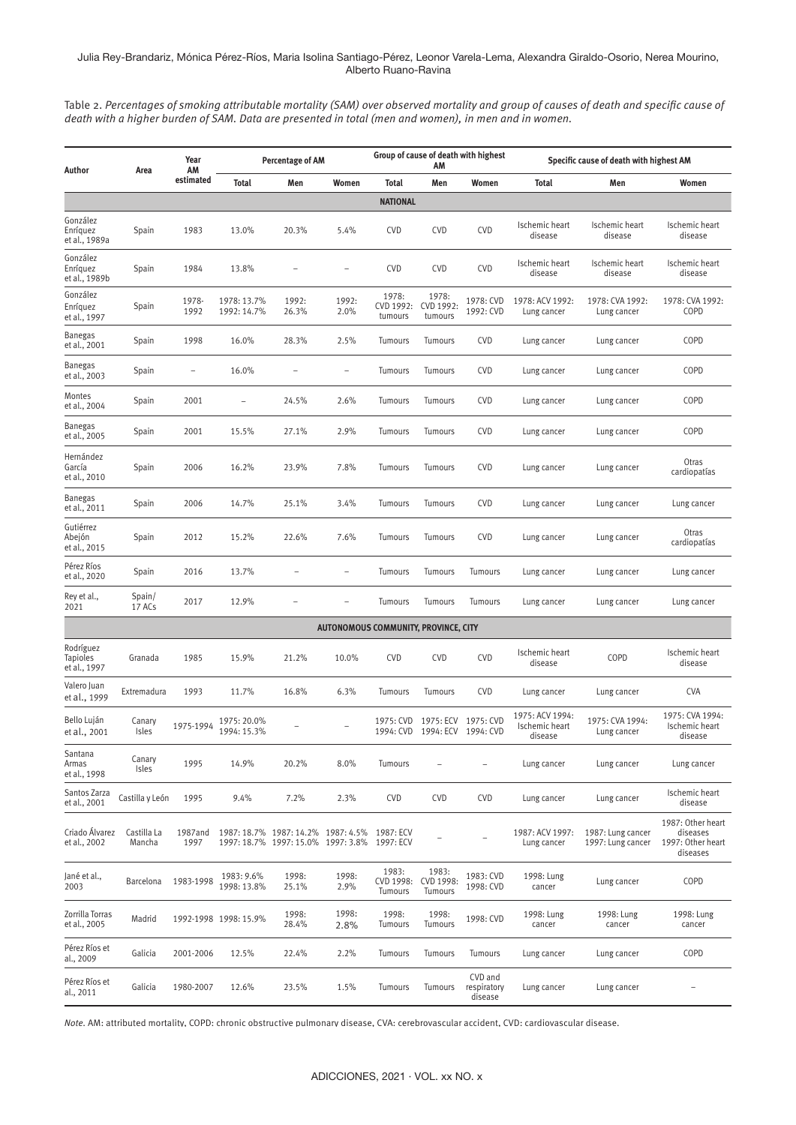#### Julia Rey-Brandariz, Mónica Pérez-Ríos, Maria Isolina Santiago-Pérez, Leonor Varela-Lema, Alexandra Giraldo-Osorio, Nerea Mourino, Alberto Ruano-Ravina

Table 2. *Percentages of smoking attributable mortality (SAM) over observed mortality and group of causes of death and specific cause of death with a higher burden of SAM. Data are presented in total (men and women), in men and in women.*

| Author                                       | Area                  | Year<br>AM               | Percentage of AM           |                                                                          |                                      | Group of cause of death with highest<br>AM |                                            |                                   | Specific cause of death with highest AM      |                                        |                                                                |  |
|----------------------------------------------|-----------------------|--------------------------|----------------------------|--------------------------------------------------------------------------|--------------------------------------|--------------------------------------------|--------------------------------------------|-----------------------------------|----------------------------------------------|----------------------------------------|----------------------------------------------------------------|--|
|                                              |                       | estimated                | <b>Total</b>               | Men                                                                      | Women                                | <b>Total</b>                               | Men                                        | Women                             | <b>Total</b>                                 | Men                                    | Women                                                          |  |
|                                              |                       |                          |                            |                                                                          |                                      | <b>NATIONAL</b>                            |                                            |                                   |                                              |                                        |                                                                |  |
| González<br>Enríquez<br>et al., 1989a        | Spain                 | 1983                     | 13.0%                      | 20.3%                                                                    | 5.4%                                 | <b>CVD</b>                                 | <b>CVD</b>                                 | <b>CVD</b>                        | Ischemic heart<br>disease                    | Ischemic heart<br>disease              | Ischemic heart<br>disease                                      |  |
| González<br>Enríquez<br>et al., 1989b        | Spain                 | 1984                     | 13.8%                      |                                                                          |                                      | <b>CVD</b>                                 | <b>CVD</b>                                 | <b>CVD</b>                        | Ischemic heart<br>disease                    | Ischemic heart<br>disease              | Ischemic heart<br>disease                                      |  |
| González<br>Enríquez<br>et al., 1997         | Spain                 | 1978-<br>1992            | 1978: 13.7%<br>1992: 14.7% | 1992:<br>26.3%                                                           | 1992:<br>2.0%                        | 1978:<br>CVD 1992:<br>tumours              | 1978:<br>CVD 1992:<br>tumours              | 1978: CVD<br>1992: CVD            | 1978: ACV 1992:<br>Lung cancer               | 1978: CVA 1992:<br>Lung cancer         | 1978: CVA 1992:<br>COPD                                        |  |
| <b>Banegas</b><br>et al., 2001               | Spain                 | 1998                     | 16.0%                      | 28.3%                                                                    | 2.5%                                 | Tumours                                    | Tumours                                    | <b>CVD</b>                        | Lung cancer                                  | Lung cancer                            | COPD                                                           |  |
| <b>Banegas</b><br>et al., 2003               | Spain                 | $\overline{\phantom{0}}$ | 16.0%                      |                                                                          | $\qquad \qquad -$                    | Tumours                                    | Tumours                                    | <b>CVD</b>                        | Lung cancer                                  | Lung cancer                            | COPD                                                           |  |
| Montes<br>et al., 2004                       | Spain                 | 2001                     |                            | 24.5%                                                                    | 2.6%                                 | Tumours                                    | Tumours                                    | <b>CVD</b>                        | Lung cancer                                  | Lung cancer                            | COPD                                                           |  |
| <b>Banegas</b><br>et al., 2005               | Spain                 | 2001                     | 15.5%                      | 27.1%                                                                    | 2.9%                                 | Tumours                                    | Tumours                                    | <b>CVD</b>                        | Lung cancer                                  | Lung cancer                            | COPD                                                           |  |
| Hernández<br>García<br>et al., 2010          | Spain                 | 2006                     | 16.2%                      | 23.9%                                                                    | 7.8%                                 | Tumours                                    | Tumours                                    | <b>CVD</b>                        | Lung cancer                                  | Lung cancer                            | Otras<br>cardiopatías                                          |  |
| <b>Banegas</b><br>et al., 2011               | Spain                 | 2006                     | 14.7%                      | 25.1%                                                                    | 3.4%                                 | Tumours                                    | Tumours                                    | <b>CVD</b>                        | Lung cancer                                  | Lung cancer                            | Lung cancer                                                    |  |
| Gutiérrez<br>Abejón<br>et al., 2015          | Spain                 | 2012                     | 15.2%                      | 22.6%                                                                    | 7.6%                                 | Tumours                                    | Tumours                                    | <b>CVD</b>                        | Lung cancer                                  | Lung cancer                            | Otras<br>cardiopatías                                          |  |
| Pérez Ríos<br>et al., 2020                   | Spain                 | 2016                     | 13.7%                      |                                                                          | $\overline{\phantom{a}}$             | Tumours                                    | Tumours                                    | Tumours                           | Lung cancer                                  | Lung cancer                            | Lung cancer                                                    |  |
| Rey et al.,<br>2021                          | Spin/<br>17 ACs       | 2017                     | 12.9%                      |                                                                          |                                      | Tumours                                    | Tumours                                    | Tumours                           | Lung cancer                                  | Lung cancer                            | Lung cancer                                                    |  |
|                                              |                       |                          |                            |                                                                          | AUTONOMOUS COMMUNITY, PROVINCE, CITY |                                            |                                            |                                   |                                              |                                        |                                                                |  |
| Rodríguez<br><b>Tapioles</b><br>et al., 1997 | Granada               | 1985                     | 15.9%                      | 21.2%                                                                    | 10.0%                                | <b>CVD</b>                                 | <b>CVD</b>                                 | <b>CVD</b>                        | Ischemic heart<br>disease                    | COPD                                   | Ischemic heart<br>disease                                      |  |
| Valero Juan<br>et al., 1999                  | Extremadura           | 1993                     | 11.7%                      | 16.8%                                                                    | 6.3%                                 | Tumours                                    | Tumours                                    | <b>CVD</b>                        | Lung cancer                                  | Lung cancer                            | <b>CVA</b>                                                     |  |
| Bello Luján<br>et al., 2001                  | Canary<br>Isles       | 1975-1994                | 1975: 20.0%<br>1994: 15.3% |                                                                          |                                      | 1975: CVD                                  | 1975: ECV<br>1994: CVD 1994: ECV 1994: CVD | 1975: CVD                         | 1975: ACV 1994:<br>Ischemic heart<br>disease | 1975: CVA 1994:<br>Lung cancer         | 1975: CVA 1994:<br>Ischemic heart<br>disease                   |  |
| Santana<br>Armas<br>et al., 1998             | Canary<br>Isles       | 1995                     | 14.9%                      | 20.2%                                                                    | 8.0%                                 | Tumours                                    |                                            |                                   | Lung cancer                                  | Lung cancer                            | Lung cancer                                                    |  |
| Santos Zarza<br>et al., 2001                 | Castilla y León       | 1995                     | 9.4%                       | 7.2%                                                                     | 2.3%                                 | <b>CVD</b>                                 | <b>CVD</b>                                 | CVD                               | Lung cancer                                  | Lung cancer                            | Ischemic heart<br>disease                                      |  |
| Criado Álvarez<br>et al., 2002               | Castilla La<br>Mancha | 1987and<br>1997          |                            | 1987: 18.7% 1987: 14.2% 1987: 4.5%<br>1997: 18.7% 1997: 15.0% 1997: 3.8% |                                      | 1987: ECV<br>1997: ECV                     |                                            |                                   | 1987: ACV 1997:<br>Lung cancer               | 1987: Lung cancer<br>1997: Lung cancer | 1987: Other heart<br>diseases<br>1997: Other heart<br>diseases |  |
| Jané et al.,<br>2003                         | <b>Barcelona</b>      | 1983-1998                | 1983: 9.6%<br>1998: 13.8%  | 1998:<br>25.1%                                                           | 1998:<br>2.9%                        | 1983:<br>CVD 1998:<br>Tumours              | 1983:<br>CVD 1998:<br>Tumours              | 1983: CVD<br>1998: CVD            | 1998: Lung<br>cancer                         | Lung cancer                            | COPD                                                           |  |
| Zorrilla Torras<br>et al., 2005              | Madrid                |                          | 1992-1998 1998: 15.9%      | 1998:<br>28.4%                                                           | 1998:<br>2.8%                        | 1998:<br>Tumours                           | 1998:<br>Tumours                           | 1998: CVD                         | 1998: Lung<br>cancer                         | 1998: Lung<br>cancer                   | 1998: Lung<br>cancer                                           |  |
| Pérez Ríos et<br>al., 2009                   | Galicia               | 2001-2006                | 12.5%                      | 22.4%                                                                    | 2.2%                                 | Tumours                                    | Tumours                                    | Tumours                           | Lung cancer                                  | Lung cancer                            | COPD                                                           |  |
| Pérez Ríos et<br>al., 2011                   | Galicia               | 1980-2007                | 12.6%                      | 23.5%                                                                    | 1.5%                                 | Tumours                                    | Tumours                                    | CVD and<br>respiratory<br>disease | Lung cancer                                  | Lung cancer                            |                                                                |  |

*Note.* AM: attributed mortality, COPD: chronic obstructive pulmonary disease, CVA: cerebrovascular accident, CVD: cardiovascular disease.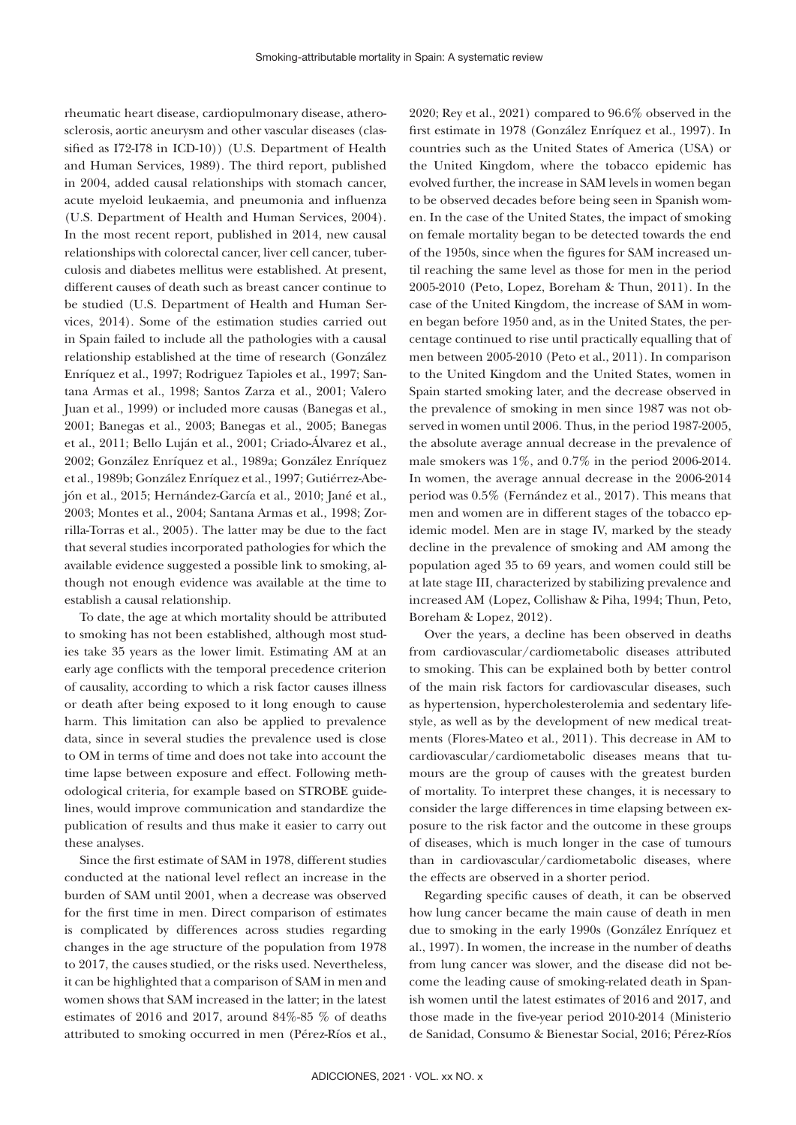rheumatic heart disease, cardiopulmonary disease, atherosclerosis, aortic aneurysm and other vascular diseases (classified as I72-I78 in ICD-10)) (U.S. Department of Health and Human Services, 1989). The third report, published in 2004, added causal relationships with stomach cancer, acute myeloid leukaemia, and pneumonia and influenza (U.S. Department of Health and Human Services, 2004). In the most recent report, published in 2014, new causal relationships with colorectal cancer, liver cell cancer, tuberculosis and diabetes mellitus were established. At present, different causes of death such as breast cancer continue to be studied (U.S. Department of Health and Human Services, 2014). Some of the estimation studies carried out in Spain failed to include all the pathologies with a causal relationship established at the time of research (González Enríquez et al., 1997; Rodriguez Tapioles et al., 1997; Santana Armas et al., 1998; Santos Zarza et al., 2001; Valero Juan et al., 1999) or included more causas (Banegas et al., 2001; Banegas et al., 2003; Banegas et al., 2005; Banegas et al., 2011; Bello Luján et al., 2001; Criado-Álvarez et al., 2002; González Enríquez et al., 1989a; González Enríquez et al., 1989b; González Enríquez et al., 1997; Gutiérrez-Abejón et al., 2015; Hernández-García et al., 2010; Jané et al., 2003; Montes et al., 2004; Santana Armas et al., 1998; Zorrilla-Torras et al., 2005). The latter may be due to the fact that several studies incorporated pathologies for which the available evidence suggested a possible link to smoking, although not enough evidence was available at the time to establish a causal relationship.

To date, the age at which mortality should be attributed to smoking has not been established, although most studies take 35 years as the lower limit. Estimating AM at an early age conflicts with the temporal precedence criterion of causality, according to which a risk factor causes illness or death after being exposed to it long enough to cause harm. This limitation can also be applied to prevalence data, since in several studies the prevalence used is close to OM in terms of time and does not take into account the time lapse between exposure and effect. Following methodological criteria, for example based on STROBE guidelines, would improve communication and standardize the publication of results and thus make it easier to carry out these analyses.

Since the first estimate of SAM in 1978, different studies conducted at the national level reflect an increase in the burden of SAM until 2001, when a decrease was observed for the first time in men. Direct comparison of estimates is complicated by differences across studies regarding changes in the age structure of the population from 1978 to 2017, the causes studied, or the risks used. Nevertheless, it can be highlighted that a comparison of SAM in men and women shows that SAM increased in the latter; in the latest estimates of 2016 and 2017, around 84%-85 % of deaths attributed to smoking occurred in men (Pérez-Ríos et al.,

2020; Rey et al., 2021) compared to 96.6% observed in the first estimate in 1978 (González Enríquez et al., 1997). In countries such as the United States of America (USA) or the United Kingdom, where the tobacco epidemic has evolved further, the increase in SAM levels in women began to be observed decades before being seen in Spanish women. In the case of the United States, the impact of smoking on female mortality began to be detected towards the end of the 1950s, since when the figures for SAM increased until reaching the same level as those for men in the period 2005-2010 (Peto, Lopez, Boreham & Thun, 2011). In the case of the United Kingdom, the increase of SAM in women began before 1950 and, as in the United States, the percentage continued to rise until practically equalling that of men between 2005-2010 (Peto et al., 2011). In comparison to the United Kingdom and the United States, women in Spain started smoking later, and the decrease observed in the prevalence of smoking in men since 1987 was not observed in women until 2006. Thus, in the period 1987-2005, the absolute average annual decrease in the prevalence of male smokers was 1%, and 0.7% in the period 2006-2014. In women, the average annual decrease in the 2006-2014 period was 0.5% (Fernández et al., 2017). This means that men and women are in different stages of the tobacco epidemic model. Men are in stage IV, marked by the steady decline in the prevalence of smoking and AM among the population aged 35 to 69 years, and women could still be at late stage III, characterized by stabilizing prevalence and increased AM (Lopez, Collishaw & Piha, 1994; Thun, Peto, Boreham & Lopez, 2012).

Over the years, a decline has been observed in deaths from cardiovascular/cardiometabolic diseases attributed to smoking. This can be explained both by better control of the main risk factors for cardiovascular diseases, such as hypertension, hypercholesterolemia and sedentary lifestyle, as well as by the development of new medical treatments (Flores-Mateo et al., 2011). This decrease in AM to cardiovascular/cardiometabolic diseases means that tumours are the group of causes with the greatest burden of mortality. To interpret these changes, it is necessary to consider the large differences in time elapsing between exposure to the risk factor and the outcome in these groups of diseases, which is much longer in the case of tumours than in cardiovascular/cardiometabolic diseases, where the effects are observed in a shorter period.

Regarding specific causes of death, it can be observed how lung cancer became the main cause of death in men due to smoking in the early 1990s (González Enríquez et al., 1997). In women, the increase in the number of deaths from lung cancer was slower, and the disease did not become the leading cause of smoking-related death in Spanish women until the latest estimates of 2016 and 2017, and those made in the five-year period 2010-2014 (Ministerio de Sanidad, Consumo & Bienestar Social, 2016; Pérez-Ríos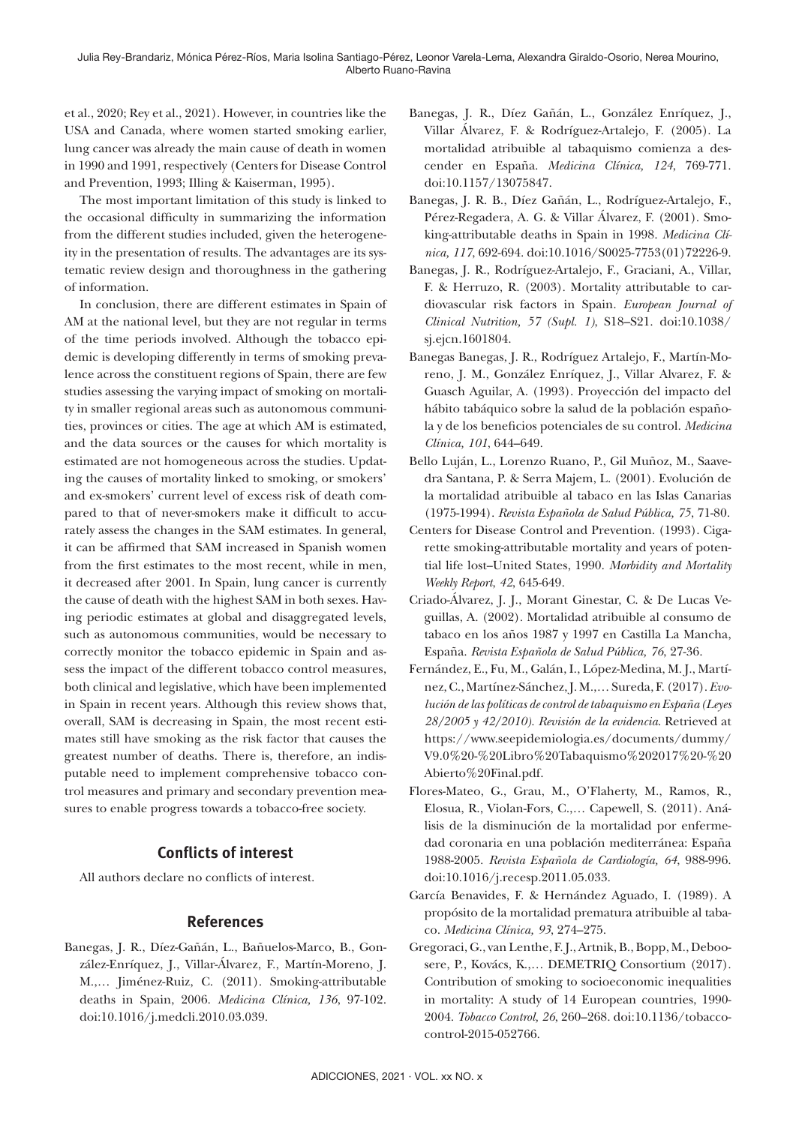et al., 2020; Rey et al., 2021). However, in countries like the USA and Canada, where women started smoking earlier, lung cancer was already the main cause of death in women in 1990 and 1991, respectively (Centers for Disease Control and Prevention, 1993; Illing & Kaiserman, 1995).

The most important limitation of this study is linked to the occasional difficulty in summarizing the information from the different studies included, given the heterogeneity in the presentation of results. The advantages are its systematic review design and thoroughness in the gathering of information.

In conclusion, there are different estimates in Spain of AM at the national level, but they are not regular in terms of the time periods involved. Although the tobacco epidemic is developing differently in terms of smoking prevalence across the constituent regions of Spain, there are few studies assessing the varying impact of smoking on mortality in smaller regional areas such as autonomous communities, provinces or cities. The age at which AM is estimated, and the data sources or the causes for which mortality is estimated are not homogeneous across the studies. Updating the causes of mortality linked to smoking, or smokers' and ex-smokers' current level of excess risk of death compared to that of never-smokers make it difficult to accurately assess the changes in the SAM estimates. In general, it can be affirmed that SAM increased in Spanish women from the first estimates to the most recent, while in men, it decreased after 2001. In Spain, lung cancer is currently the cause of death with the highest SAM in both sexes. Having periodic estimates at global and disaggregated levels, such as autonomous communities, would be necessary to correctly monitor the tobacco epidemic in Spain and assess the impact of the different tobacco control measures, both clinical and legislative, which have been implemented in Spain in recent years. Although this review shows that, overall, SAM is decreasing in Spain, the most recent estimates still have smoking as the risk factor that causes the greatest number of deaths. There is, therefore, an indisputable need to implement comprehensive tobacco control measures and primary and secondary prevention measures to enable progress towards a tobacco-free society.

# **Conflicts of interest**

All authors declare no conflicts of interest.

# **References**

Banegas, J. R., Díez-Gañán, L., Bañuelos-Marco, B., González-Enríquez, J., Villar-Álvarez, F., Martín-Moreno, J. M.,… Jiménez-Ruiz, C. (2011). Smoking-attributable deaths in Spain, 2006. *Medicina Clínica, 136*, 97-102. doi:10.1016/j.medcli.2010.03.039.

- Banegas, J. R., Díez Gañán, L., González Enríquez, J., Villar Álvarez, F. & Rodríguez-Artalejo, F. (2005). La mortalidad atribuible al tabaquismo comienza a descender en España. *Medicina Clínica, 124*, 769-771. doi:10.1157/13075847.
- Banegas, J. R. B., Díez Gañán, L., Rodríguez-Artalejo, F., Pérez-Regadera, A. G. & Villar Álvarez, F. (2001). Smoking-attributable deaths in Spain in 1998. *Medicina Clínica, 117*, 692-694. doi:10.1016/S0025-7753(01)72226-9.
- Banegas, J. R., Rodríguez-Artalejo, F., Graciani, A., Villar, F. & Herruzo, R. (2003). Mortality attributable to cardiovascular risk factors in Spain. *European Journal of Clinical Nutrition, 57 (Supl. 1)*, S18–S21. doi:10.1038/ sj.ejcn.1601804.
- Banegas Banegas, J. R., Rodríguez Artalejo, F., Martín-Moreno, J. M., González Enríquez, J., Villar Alvarez, F. & Guasch Aguilar, A. (1993). Proyección del impacto del hábito tabáquico sobre la salud de la población española y de los beneficios potenciales de su control. *Medicina Clínica, 101*, 644–649.
- Bello Luján, L., Lorenzo Ruano, P., Gil Muñoz, M., Saavedra Santana, P. & Serra Majem, L. (2001). Evolución de la mortalidad atribuible al tabaco en las Islas Canarias (1975-1994). *Revista Española de Salud Pública, 75*, 71-80.
- Centers for Disease Control and Prevention. (1993). Cigarette smoking-attributable mortality and years of potential life lost-United States, 1990. Morbidity and Mortality *Weekly Report*, *42*, 645-649.
- Criado-Álvarez, J. J., Morant Ginestar, C. & De Lucas Veguillas, A. (2002). Mortalidad atribuible al consumo de tabaco en los años 1987 y 1997 en Castilla La Mancha, España. *Revista Española de Salud Pública, 76*, 27-36.
- Fernández, E., Fu, M., Galán, I., López-Medina, M. J., Martínez, C., Martínez-Sánchez, J. M.,… Sureda, F. (2017). *Evolución de las políticas de control de tabaquismo en España (Leyes 28/2005 y 42/2010). Revisión de la evidencia*. Retrieved at https://www.seepidemiologia.es/documents/dummy/ V9.0%20-%20Libro%20Tabaquismo%202017%20-%20 Abierto%20Final.pdf.
- Flores-Mateo, G., Grau, M., O'Flaherty, M., Ramos, R., Elosua, R., Violan-Fors, C.,… Capewell, S. (2011). Análisis de la disminución de la mortalidad por enfermedad coronaria en una población mediterránea: España 1988-2005. *Revista Española de Cardiología, 64*, 988-996. doi:10.1016/j.recesp.2011.05.033.
- García Benavides, F. & Hernández Aguado, I. (1989). A propósito de la mortalidad prematura atribuible al tabaco. *Medicina Clínica, 93*, 274–275.
- Gregoraci, G., van Lenthe, F. J., Artnik, B., Bopp, M., Deboosere, P., Kovács, K.,… DEMETRIQ Consortium (2017). Contribution of smoking to socioeconomic inequalities in mortality: A study of 14 European countries, 1990- 2004. *Tobacco Control, 26*, 260–268. doi:10.1136/tobaccocontrol-2015-052766.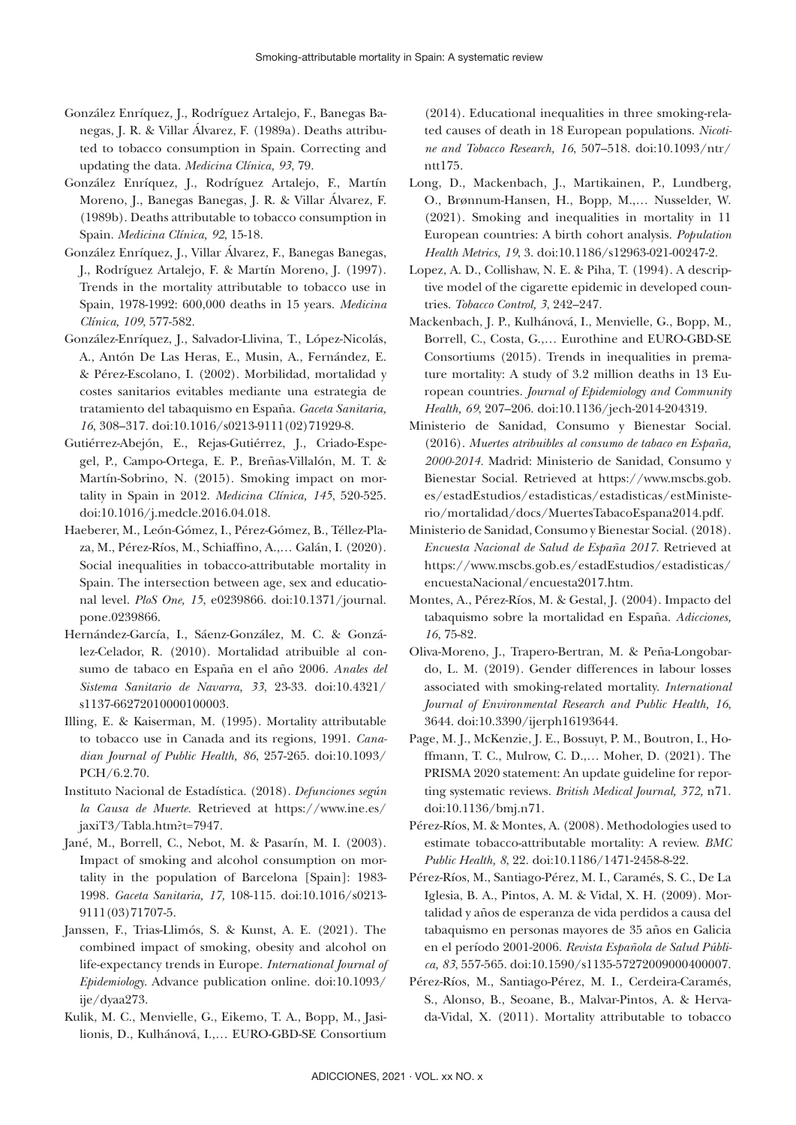- González Enríquez, J., Rodríguez Artalejo, F., Banegas Banegas, J. R. & Villar Álvarez, F. (1989a). Deaths attributed to tobacco consumption in Spain. Correcting and updating the data. *Medicina Clínica, 93*, 79.
- González Enríquez, J., Rodríguez Artalejo, F., Martín Moreno, J., Banegas Banegas, J. R. & Villar Álvarez, F. (1989b). Deaths attributable to tobacco consumption in Spain. *Medicina Clínica, 92*, 15-18.
- González Enríquez, J., Villar Álvarez, F., Banegas Banegas, J., Rodríguez Artalejo, F. & Martín Moreno, J. (1997). Trends in the mortality attributable to tobacco use in Spain, 1978-1992: 600,000 deaths in 15 years. *Medicina Clínica, 109*, 577-582.
- González-Enríquez, J., Salvador-Llivina, T., López-Nicolás, A., Antón De Las Heras, E., Musin, A., Fernández, E. & Pérez-Escolano, I. (2002). Morbilidad, mortalidad y costes sanitarios evitables mediante una estrategia de tratamiento del tabaquismo en España. *Gaceta Sanitaria, 16*, 308–317. doi:10.1016/s0213-9111(02)71929-8.
- Gutiérrez-Abejón, E., Rejas-Gutiérrez, J., Criado-Espegel, P., Campo-Ortega, E. P., Breñas-Villalón, M. T. & Martín-Sobrino, N. (2015). Smoking impact on mortality in Spain in 2012. *Medicina Clínica, 145*, 520-525. doi:10.1016/j.medcle.2016.04.018.
- Haeberer, M., León-Gómez, I., Pérez-Gómez, B., Téllez-Plaza, M., Pérez-Ríos, M., Schiaffino, A.,… Galán, I. (2020). Social inequalities in tobacco-attributable mortality in Spain. The intersection between age, sex and educational level. *PloS One, 15*, e0239866. doi:10.1371/journal. pone.0239866.
- Hernández-García, I., Sáenz-González, M. C. & González-Celador, R. (2010). Mortalidad atribuible al consumo de tabaco en España en el año 2006. *Anales del Sistema Sanitario de Navarra, 33*, 23-33. doi:10.4321/ s1137-66272010000100003.
- Illing, E. & Kaiserman, M. (1995). Mortality attributable to tobacco use in Canada and its regions, 1991. *Canadian Journal of Public Health, 86*, 257-265. doi:10.1093/ PCH/6.2.70.
- Instituto Nacional de Estadística. (2018). *Defunciones según la Causa de Muerte.* Retrieved at https://www.ine.es/ jaxiT3/Tabla.htm?t=7947.
- Jané, M., Borrell, C., Nebot, M. & Pasarín, M. I. (2003). Impact of smoking and alcohol consumption on mortality in the population of Barcelona [Spain]: 1983- 1998. *Gaceta Sanitaria, 17,* 108-115. doi:10.1016/s0213- 9111(03)71707-5.
- Janssen, F., Trias-Llimós, S. & Kunst, A. E. (2021). The combined impact of smoking, obesity and alcohol on life-expectancy trends in Europe. *International Journal of Epidemiology*. Advance publication online. doi:10.1093/ ije/dyaa273.
- Kulik, M. C., Menvielle, G., Eikemo, T. A., Bopp, M., Jasilionis, D., Kulhánová, I.,… EURO-GBD-SE Consortium

(2014). Educational inequalities in three smoking-related causes of death in 18 European populations. *Nicotine and Tobacco Research, 16*, 507–518. doi:10.1093/ntr/ ntt175.

- Long, D., Mackenbach, J., Martikainen, P., Lundberg, O., Brønnum-Hansen, H., Bopp, M.,… Nusselder, W. (2021). Smoking and inequalities in mortality in 11 European countries: A birth cohort analysis. *Population Health Metrics, 19*, 3. doi:10.1186/s12963-021-00247-2.
- Lopez, A. D., Collishaw, N. E. & Piha, T. (1994). A descriptive model of the cigarette epidemic in developed countries. *Tobacco Control, 3*, 242–247.
- Mackenbach, J. P., Kulhánová, I., Menvielle, G., Bopp, M., Borrell, C., Costa, G.,… Eurothine and EURO-GBD-SE Consortiums (2015). Trends in inequalities in premature mortality: A study of 3.2 million deaths in 13 European countries. *Journal of Epidemiology and Community Health, 69*, 207–206. doi:10.1136/jech-2014-204319.
- Ministerio de Sanidad, Consumo y Bienestar Social. (2016). *Muertes atribuibles al consumo de tabaco en España, 2000-2014.* Madrid: Ministerio de Sanidad, Consumo y Bienestar Social. Retrieved at https://www.mscbs.gob. es/estadEstudios/estadisticas/estadisticas/estMinisterio/mortalidad/docs/MuertesTabacoEspana2014.pdf.
- Ministerio de Sanidad, Consumo y Bienestar Social. (2018). *Encuesta Nacional de Salud de España 2017*. Retrieved at https://www.mscbs.gob.es/estadEstudios/estadisticas/ encuestaNacional/encuesta2017.htm.
- Montes, A., Pérez-Ríos, M. & Gestal, J. (2004). Impacto del tabaquismo sobre la mortalidad en España. *Adicciones, 16*, 75-82.
- Oliva-Moreno, J., Trapero-Bertran, M. & Peña-Longobardo, L. M. (2019). Gender differences in labour losses associated with smoking-related mortality. *International Journal of Environmental Research and Public Health, 16*, 3644. doi:10.3390/ijerph16193644.
- Page, M. J., McKenzie, J. E., Bossuyt, P. M., Boutron, I., Hoffmann, T. C., Mulrow, C. D.,… Moher, D. (2021). The PRISMA 2020 statement: An update guideline for reporting systematic reviews. *British Medical Journal, 372,* n71. doi:10.1136/bmj.n71.
- Pérez-Ríos, M. & Montes, A. (2008). Methodologies used to estimate tobacco-attributable mortality: A review. *BMC Public Health, 8*, 22. doi:10.1186/1471-2458-8-22.
- Pérez-Ríos, M., Santiago-Pérez, M. I., Caramés, S. C., De La Iglesia, B. A., Pintos, A. M. & Vidal, X. H. (2009). Mortalidad y años de esperanza de vida perdidos a causa del tabaquismo en personas mayores de 35 años en Galicia en el período 2001-2006. *Revista Española de Salud Pública, 83*, 557-565. doi:10.1590/s1135-57272009000400007.
- Pérez-Ríos, M., Santiago-Pérez, M. I., Cerdeira-Caramés, S., Alonso, B., Seoane, B., Malvar-Pintos, A. & Hervada-Vidal, X. (2011). Mortality attributable to tobacco